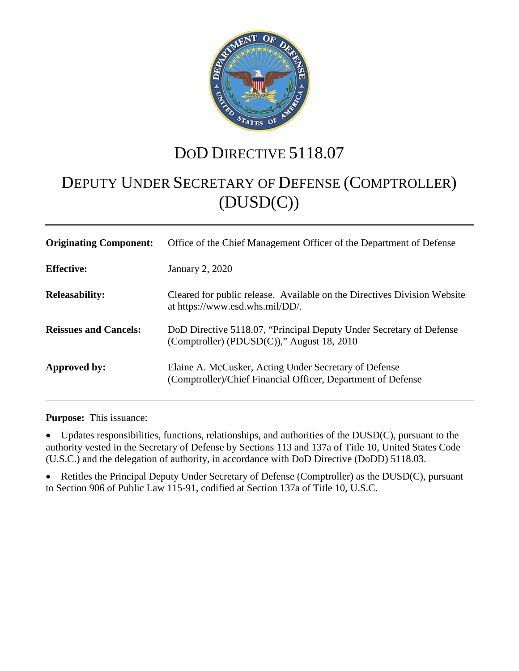

## DOD DIRECTIVE 5118.07

# DEPUTY UNDER SECRETARY OF DEFENSE (COMPTROLLER) (DUSD(C))

| <b>Originating Component:</b> | Office of the Chief Management Officer of the Department of Defense                                                   |
|-------------------------------|-----------------------------------------------------------------------------------------------------------------------|
| <b>Effective:</b>             | January 2, 2020                                                                                                       |
| <b>Releasability:</b>         | Cleared for public release. Available on the Directives Division Website<br>at https://www.esd.whs.mil/DD/.           |
| <b>Reissues and Cancels:</b>  | DoD Directive 5118.07, "Principal Deputy Under Secretary of Defense<br>(Comptroller) (PDUSD(C))," August 18, 2010     |
| Approved by:                  | Elaine A. McCusker, Acting Under Secretary of Defense<br>(Comptroller)/Chief Financial Officer, Department of Defense |

**Purpose:** This issuance:

• Updates responsibilities, functions, relationships, and authorities of the DUSD(C), pursuant to the authority vested in the Secretary of Defense by Sections 113 and 137a of Title 10, United States Code (U.S.C.) and the delegation of authority, in accordance with DoD Directive (DoDD) 5118.03.

• Retitles the Principal Deputy Under Secretary of Defense (Comptroller) as the DUSD(C), pursuant to Section 906 of Public Law 115-91, codified at Section 137a of Title 10, U.S.C.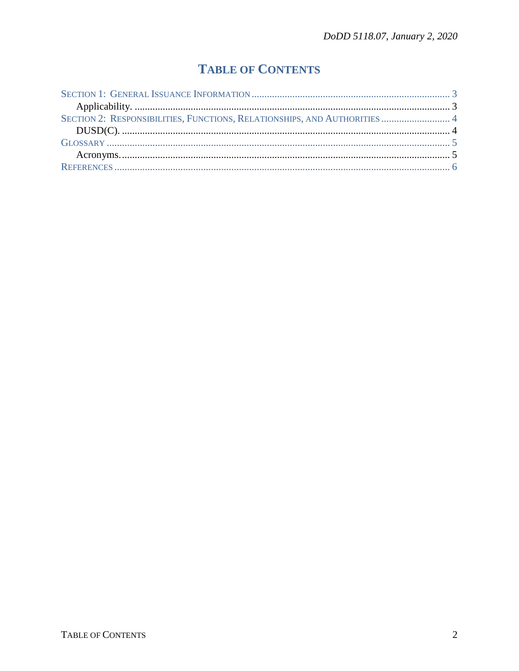## **TABLE OF CONTENTS**

| SECTION 2: RESPONSIBILITIES, FUNCTIONS, RELATIONSHIPS, AND AUTHORITIES  4 |  |
|---------------------------------------------------------------------------|--|
|                                                                           |  |
|                                                                           |  |
|                                                                           |  |
|                                                                           |  |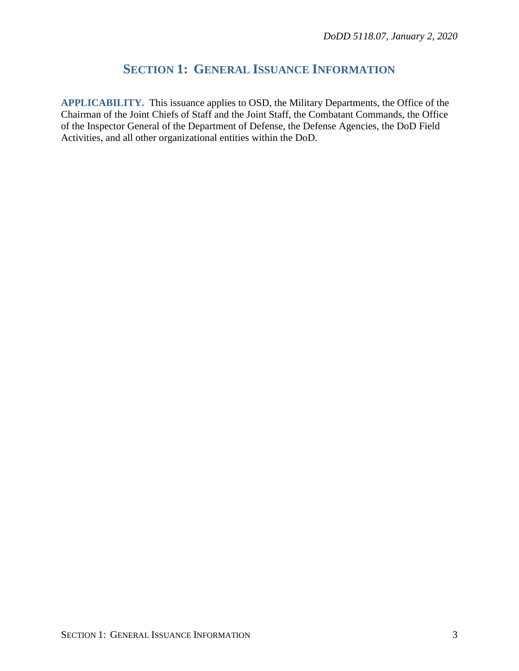### **SECTION 1: GENERAL ISSUANCE INFORMATION**

<span id="page-2-1"></span><span id="page-2-0"></span>**APPLICABILITY.** This issuance applies to OSD, the Military Departments, the Office of the Chairman of the Joint Chiefs of Staff and the Joint Staff, the Combatant Commands, the Office of the Inspector General of the Department of Defense, the Defense Agencies, the DoD Field Activities, and all other organizational entities within the DoD.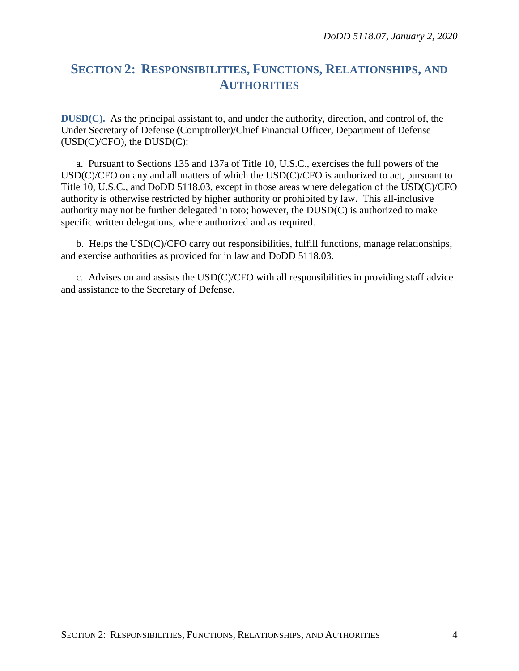### <span id="page-3-0"></span>**SECTION 2: RESPONSIBILITIES, FUNCTIONS, RELATIONSHIPS, AND AUTHORITIES**

<span id="page-3-1"></span>**DUSD(C).** As the principal assistant to, and under the authority, direction, and control of, the Under Secretary of Defense (Comptroller)/Chief Financial Officer, Department of Defense (USD(C)/CFO), the DUSD(C):

a. Pursuant to Sections 135 and 137a of Title 10, U.S.C., exercises the full powers of the USD(C)/CFO on any and all matters of which the USD(C)/CFO is authorized to act, pursuant to Title 10, U.S.C., and DoDD 5118.03, except in those areas where delegation of the USD(C)/CFO authority is otherwise restricted by higher authority or prohibited by law. This all-inclusive authority may not be further delegated in toto; however, the DUSD(C) is authorized to make specific written delegations, where authorized and as required.

b. Helps the USD(C)/CFO carry out responsibilities, fulfill functions, manage relationships, and exercise authorities as provided for in law and DoDD 5118.03.

c. Advises on and assists the USD(C)/CFO with all responsibilities in providing staff advice and assistance to the Secretary of Defense.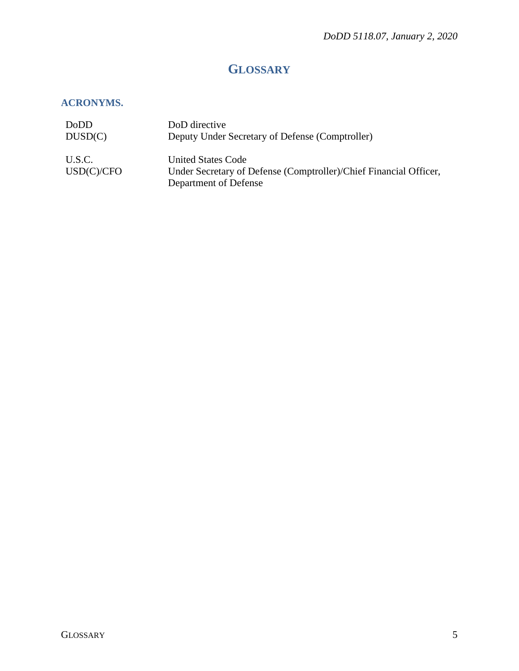## **GLOSSARY**

#### <span id="page-4-1"></span><span id="page-4-0"></span>**ACRONYMS.**

| DoDD                 | DoD directive                                                                                                           |
|----------------------|-------------------------------------------------------------------------------------------------------------------------|
| DUSD(C)              | Deputy Under Secretary of Defense (Comptroller)                                                                         |
| U.S.C.<br>USD(C)/CFO | <b>United States Code</b><br>Under Secretary of Defense (Comptroller)/Chief Financial Officer,<br>Department of Defense |